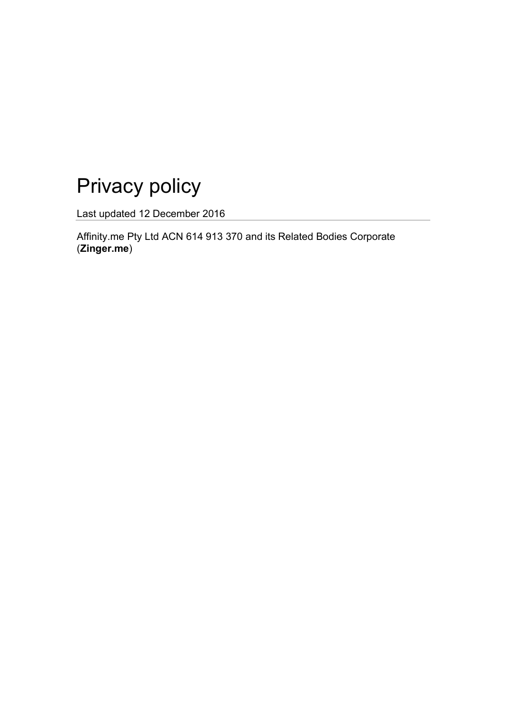# Privacy policy

Last updated 12 December 2016

Affinity.me Pty Ltd ACN 614 913 370 and its Related Bodies Corporate (**Zinger.me**)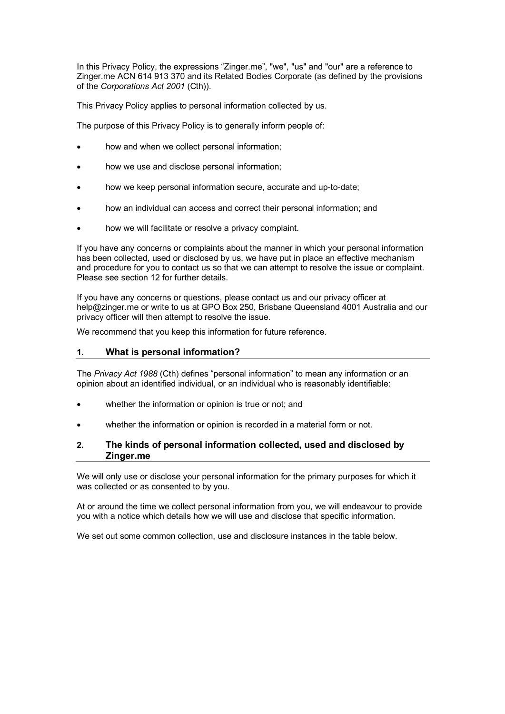In this Privacy Policy, the expressions "Zinger.me", "we", "us" and "our" are a reference to Zinger.me ACN 614 913 370 and its Related Bodies Corporate (as defined by the provisions of the *Corporations Act 2001* (Cth)).

This Privacy Policy applies to personal information collected by us.

The purpose of this Privacy Policy is to generally inform people of:

- how and when we collect personal information;
- how we use and disclose personal information;
- how we keep personal information secure, accurate and up-to-date;
- how an individual can access and correct their personal information; and
- how we will facilitate or resolve a privacy complaint.

If you have any concerns or complaints about the manner in which your personal information has been collected, used or disclosed by us, we have put in place an effective mechanism and procedure for you to contact us so that we can attempt to resolve the issue or complaint. Please see section 12 for further details.

If you have any concerns or questions, please contact us and our privacy officer at help@zinger.me or write to us at GPO Box 250, Brisbane Queensland 4001 Australia and our privacy officer will then attempt to resolve the issue*.*

We recommend that you keep this information for future reference.

# **1. What is personal information?**

The *Privacy Act 1988* (Cth) defines "personal information" to mean any information or an opinion about an identified individual, or an individual who is reasonably identifiable:

- whether the information or opinion is true or not; and
- whether the information or opinion is recorded in a material form or not.

# **2. The kinds of personal information collected, used and disclosed by Zinger.me**

We will only use or disclose your personal information for the primary purposes for which it was collected or as consented to by you.

At or around the time we collect personal information from you, we will endeavour to provide you with a notice which details how we will use and disclose that specific information.

We set out some common collection, use and disclosure instances in the table below.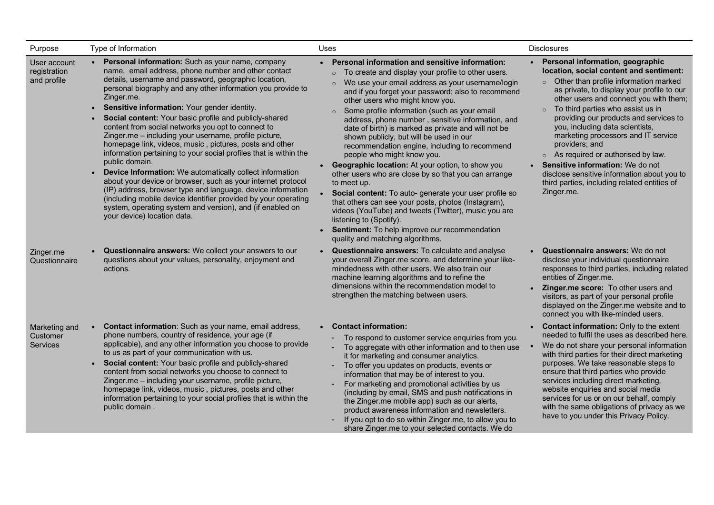| Purpose                                     | Type of Information                                                                                                                                                                                                                                                                                                                                                                                                                                                                                                                                                                                                                                                                                                                                                                                                                                                                                                                                                                                                     | Uses                                                                                                                                                                                                                                                                                                                                                                                                                                                                                                                                                                                                                                                                                                                                                                                                                                                                                                                                                                            | <b>Disclosures</b>                                                                                                                                                                                                                                                                                                                                                                                                                                                                                                                                                                                     |
|---------------------------------------------|-------------------------------------------------------------------------------------------------------------------------------------------------------------------------------------------------------------------------------------------------------------------------------------------------------------------------------------------------------------------------------------------------------------------------------------------------------------------------------------------------------------------------------------------------------------------------------------------------------------------------------------------------------------------------------------------------------------------------------------------------------------------------------------------------------------------------------------------------------------------------------------------------------------------------------------------------------------------------------------------------------------------------|---------------------------------------------------------------------------------------------------------------------------------------------------------------------------------------------------------------------------------------------------------------------------------------------------------------------------------------------------------------------------------------------------------------------------------------------------------------------------------------------------------------------------------------------------------------------------------------------------------------------------------------------------------------------------------------------------------------------------------------------------------------------------------------------------------------------------------------------------------------------------------------------------------------------------------------------------------------------------------|--------------------------------------------------------------------------------------------------------------------------------------------------------------------------------------------------------------------------------------------------------------------------------------------------------------------------------------------------------------------------------------------------------------------------------------------------------------------------------------------------------------------------------------------------------------------------------------------------------|
| User account<br>registration<br>and profile | Personal information: Such as your name, company<br>name, email address, phone number and other contact<br>details, username and password, geographic location,<br>personal biography and any other information you provide to<br>Zinger.me.<br>Sensitive information: Your gender identity.<br>$\bullet$<br>Social content: Your basic profile and publicly-shared<br>$\bullet$<br>content from social networks you opt to connect to<br>Zinger.me - including your username, profile picture,<br>homepage link, videos, music, pictures, posts and other<br>information pertaining to your social profiles that is within the<br>public domain.<br>Device Information: We automatically collect information<br>$\bullet$<br>about your device or browser, such as your internet protocol<br>(IP) address, browser type and language, device information<br>(including mobile device identifier provided by your operating<br>system, operating system and version), and (if enabled on<br>your device) location data. | • Personal information and sensitive information:<br>To create and display your profile to other users.<br>We use your email address as your username/login<br>and if you forget your password; also to recommend<br>other users who might know you.<br>Some profile information (such as your email<br>$\circ$<br>address, phone number, sensitive information, and<br>date of birth) is marked as private and will not be<br>shown publicly, but will be used in our<br>recommendation engine, including to recommend<br>people who might know you.<br>• Geographic location: At your option, to show you<br>other users who are close by so that you can arrange<br>to meet up.<br>• Social content: To auto- generate your user profile so<br>that others can see your posts, photos (Instagram),<br>videos (YouTube) and tweets (Twitter), music you are<br>listening to (Spotify).<br>• Sentiment: To help improve our recommendation<br>quality and matching algorithms. | • Personal information, geographic<br>location, social content and sentiment:<br>o Other than profile information marked<br>as private, to display your profile to our<br>other users and connect you with them;<br>To third parties who assist us in<br>$\circ$<br>providing our products and services to<br>you, including data scientists,<br>marketing processors and IT service<br>providers; and<br>$\circ$ As required or authorised by law.<br>• Sensitive information: We do not<br>disclose sensitive information about you to<br>third parties, including related entities of<br>Zinger.me. |
| Zinger.me<br>Questionnaire                  | Questionnaire answers: We collect your answers to our<br>questions about your values, personality, enjoyment and<br>actions.                                                                                                                                                                                                                                                                                                                                                                                                                                                                                                                                                                                                                                                                                                                                                                                                                                                                                            | • Questionnaire answers: To calculate and analyse<br>your overall Zinger.me score, and determine your like-<br>mindedness with other users. We also train our<br>machine learning algorithms and to refine the<br>dimensions within the recommendation model to<br>strengthen the matching between users.                                                                                                                                                                                                                                                                                                                                                                                                                                                                                                                                                                                                                                                                       | Questionnaire answers: We do not<br>disclose your individual questionnaire<br>responses to third parties, including related<br>entities of Zinger.me.<br>Zinger.me score: To other users and<br>visitors, as part of your personal profile<br>displayed on the Zinger.me website and to<br>connect you with like-minded users.                                                                                                                                                                                                                                                                         |
| Marketing and<br>Customer<br>Services       | Contact information: Such as your name, email address,<br>phone numbers, country of residence, your age (if<br>applicable), and any other information you choose to provide<br>to us as part of your communication with us.<br>Social content: Your basic profile and publicly-shared<br>content from social networks you choose to connect to<br>Zinger.me - including your username, profile picture,<br>homepage link, videos, music, pictures, posts and other<br>information pertaining to your social profiles that is within the<br>public domain.                                                                                                                                                                                                                                                                                                                                                                                                                                                               | • Contact information:<br>To respond to customer service enquiries from you.<br>To aggregate with other information and to then use<br>it for marketing and consumer analytics.<br>To offer you updates on products, events or<br>$\blacksquare$<br>information that may be of interest to you.<br>For marketing and promotional activities by us<br>(including by email, SMS and push notifications in<br>the Zinger.me mobile app) such as our alerts,<br>product awareness information and newsletters.<br>If you opt to do so within Zinger.me, to allow you to<br>$\overline{\phantom{a}}$<br>share Zinger.me to your selected contacts. We do                                                                                                                                                                                                                                                                                                                             | <b>Contact information: Only to the extent</b><br>needed to fulfil the uses as described here.<br>We do not share your personal information<br>with third parties for their direct marketing<br>purposes. We take reasonable steps to<br>ensure that third parties who provide<br>services including direct marketing,<br>website enquiries and social media<br>services for us or on our behalf, comply<br>with the same obligations of privacy as we<br>have to you under this Privacy Policy.                                                                                                       |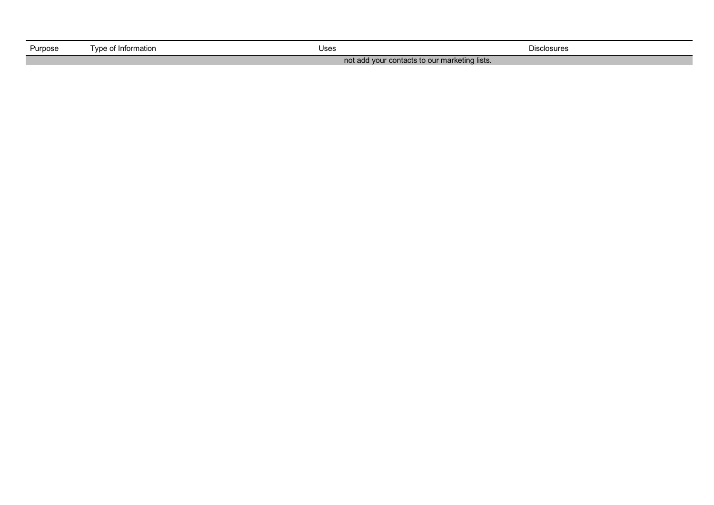| Purpose | Tvpe of Information_                          | Uses | <b>Disclosures</b> |
|---------|-----------------------------------------------|------|--------------------|
|         | not add your contacts to our marketing lists. |      |                    |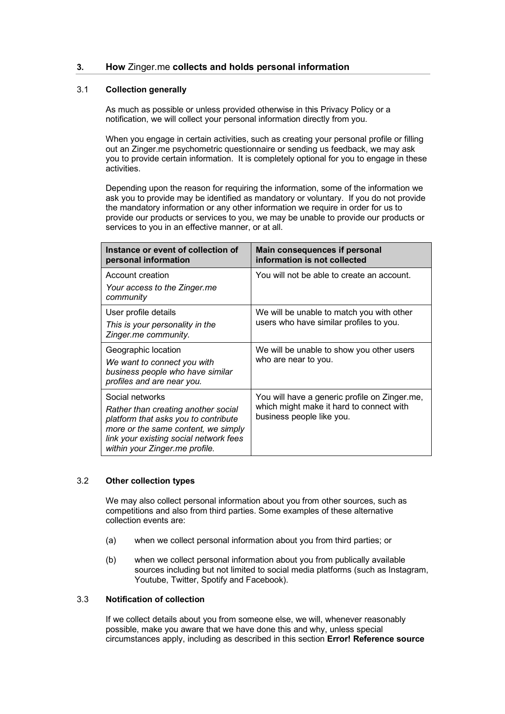# **3. How** Zinger.me **collects and holds personal information**

# 3.1 **Collection generally**

As much as possible or unless provided otherwise in this Privacy Policy or a notification, we will collect your personal information directly from you.

When you engage in certain activities, such as creating your personal profile or filling out an Zinger.me psychometric questionnaire or sending us feedback, we may ask you to provide certain information. It is completely optional for you to engage in these activities.

Depending upon the reason for requiring the information, some of the information we ask you to provide may be identified as mandatory or voluntary. If you do not provide the mandatory information or any other information we require in order for us to provide our products or services to you, we may be unable to provide our products or services to you in an effective manner, or at all.

| Instance or event of collection of<br>personal information                                                                                                                                                        | Main consequences if personal<br>information is not collected                                                          |  |
|-------------------------------------------------------------------------------------------------------------------------------------------------------------------------------------------------------------------|------------------------------------------------------------------------------------------------------------------------|--|
| Account creation<br>Your access to the Zinger.me<br>community                                                                                                                                                     | You will not be able to create an account.                                                                             |  |
| User profile details<br>This is your personality in the<br>Zinger.me community.                                                                                                                                   | We will be unable to match you with other<br>users who have similar profiles to you.                                   |  |
| Geographic location<br>We want to connect you with<br>business people who have similar<br>profiles and are near you.                                                                                              | We will be unable to show you other users<br>who are near to you.                                                      |  |
| Social networks<br>Rather than creating another social<br>platform that asks you to contribute<br>more or the same content, we simply<br>link your existing social network fees<br>within your Zinger.me profile. | You will have a generic profile on Zinger.me,<br>which might make it hard to connect with<br>business people like you. |  |

# 3.2 **Other collection types**

We may also collect personal information about you from other sources, such as competitions and also from third parties. Some examples of these alternative collection events are:

- (a) when we collect personal information about you from third parties; or
- (b) when we collect personal information about you from publically available sources including but not limited to social media platforms (such as Instagram, Youtube, Twitter, Spotify and Facebook).

# 3.3 **Notification of collection**

If we collect details about you from someone else, we will, whenever reasonably possible, make you aware that we have done this and why, unless special circumstances apply, including as described in this section **Error! Reference source**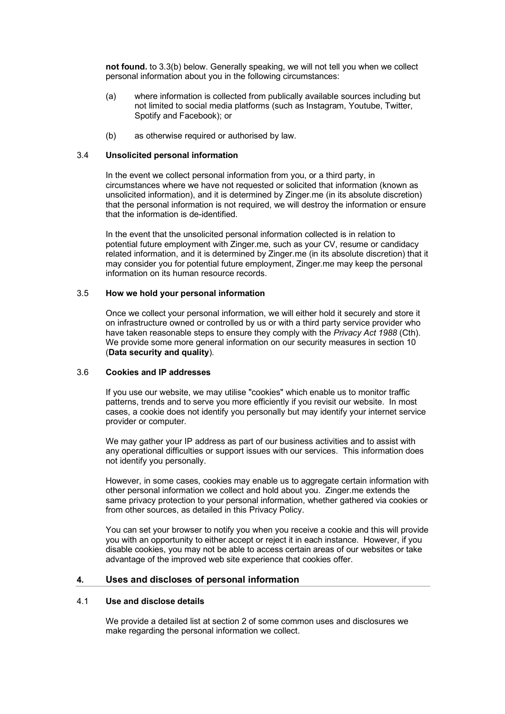**not found.** to 3.3(b) below. Generally speaking, we will not tell you when we collect personal information about you in the following circumstances:

- (a) where information is collected from publically available sources including but not limited to social media platforms (such as Instagram, Youtube, Twitter, Spotify and Facebook); or
- (b) as otherwise required or authorised by law.

# 3.4 **Unsolicited personal information**

In the event we collect personal information from you, or a third party, in circumstances where we have not requested or solicited that information (known as unsolicited information), and it is determined by Zinger.me (in its absolute discretion) that the personal information is not required, we will destroy the information or ensure that the information is de-identified.

In the event that the unsolicited personal information collected is in relation to potential future employment with Zinger.me, such as your CV, resume or candidacy related information, and it is determined by Zinger.me (in its absolute discretion) that it may consider you for potential future employment, Zinger.me may keep the personal information on its human resource records.

# 3.5 **How we hold your personal information**

Once we collect your personal information, we will either hold it securely and store it on infrastructure owned or controlled by us or with a third party service provider who have taken reasonable steps to ensure they comply with the *Privacy Act 1988* (Cth). We provide some more general information on our security measures in section 10 (**Data security and quality**).

#### 3.6 **Cookies and IP addresses**

If you use our website, we may utilise "cookies" which enable us to monitor traffic patterns, trends and to serve you more efficiently if you revisit our website. In most cases, a cookie does not identify you personally but may identify your internet service provider or computer.

We may gather your IP address as part of our business activities and to assist with any operational difficulties or support issues with our services. This information does not identify you personally.

However, in some cases, cookies may enable us to aggregate certain information with other personal information we collect and hold about you. Zinger.me extends the same privacy protection to your personal information, whether gathered via cookies or from other sources, as detailed in this Privacy Policy.

You can set your browser to notify you when you receive a cookie and this will provide you with an opportunity to either accept or reject it in each instance. However, if you disable cookies, you may not be able to access certain areas of our websites or take advantage of the improved web site experience that cookies offer.

# **4. Uses and discloses of personal information**

# 4.1 **Use and disclose details**

We provide a detailed list at section 2 of some common uses and disclosures we make regarding the personal information we collect.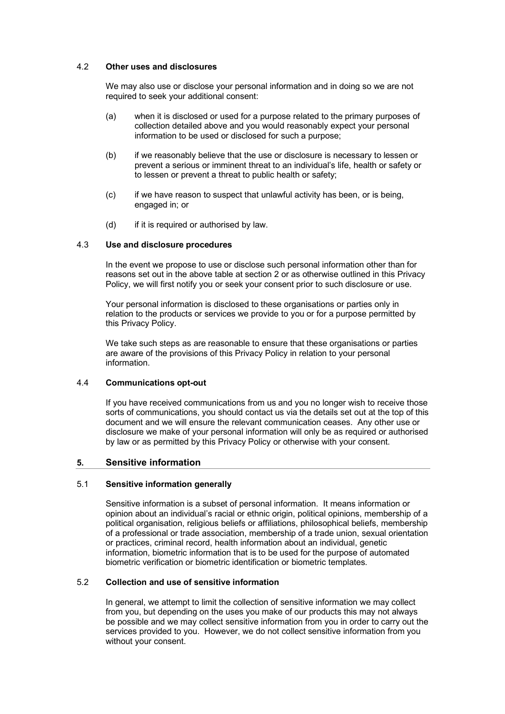# 4.2 **Other uses and disclosures**

We may also use or disclose your personal information and in doing so we are not required to seek your additional consent:

- (a) when it is disclosed or used for a purpose related to the primary purposes of collection detailed above and you would reasonably expect your personal information to be used or disclosed for such a purpose;
- (b) if we reasonably believe that the use or disclosure is necessary to lessen or prevent a serious or imminent threat to an individual's life, health or safety or to lessen or prevent a threat to public health or safety;
- (c) if we have reason to suspect that unlawful activity has been, or is being, engaged in; or
- (d) if it is required or authorised by law.

## 4.3 **Use and disclosure procedures**

In the event we propose to use or disclose such personal information other than for reasons set out in the above table at section 2 or as otherwise outlined in this Privacy Policy, we will first notify you or seek your consent prior to such disclosure or use.

Your personal information is disclosed to these organisations or parties only in relation to the products or services we provide to you or for a purpose permitted by this Privacy Policy.

We take such steps as are reasonable to ensure that these organisations or parties are aware of the provisions of this Privacy Policy in relation to your personal information.

#### 4.4 **Communications opt-out**

If you have received communications from us and you no longer wish to receive those sorts of communications, you should contact us via the details set out at the top of this document and we will ensure the relevant communication ceases. Any other use or disclosure we make of your personal information will only be as required or authorised by law or as permitted by this Privacy Policy or otherwise with your consent.

# **5. Sensitive information**

#### 5.1 **Sensitive information generally**

Sensitive information is a subset of personal information. It means information or opinion about an individual's racial or ethnic origin, political opinions, membership of a political organisation, religious beliefs or affiliations, philosophical beliefs, membership of a professional or trade association, membership of a trade union, sexual orientation or practices, criminal record, health information about an individual, genetic information, biometric information that is to be used for the purpose of automated biometric verification or biometric identification or biometric templates.

## 5.2 **Collection and use of sensitive information**

In general, we attempt to limit the collection of sensitive information we may collect from you, but depending on the uses you make of our products this may not always be possible and we may collect sensitive information from you in order to carry out the services provided to you. However, we do not collect sensitive information from you without your consent.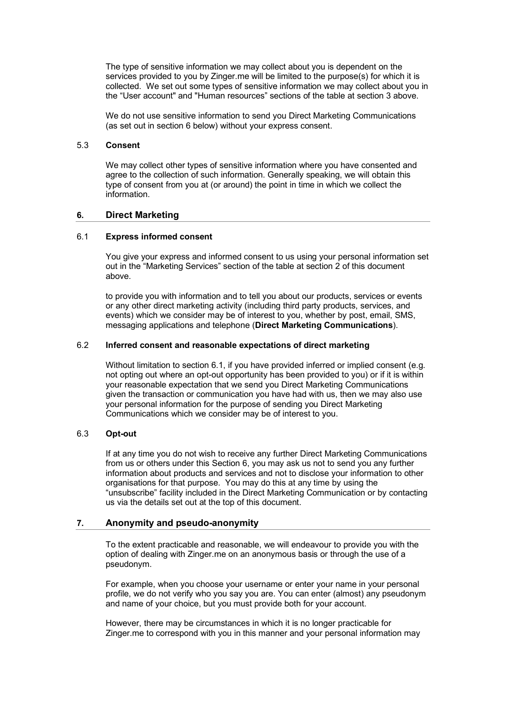The type of sensitive information we may collect about you is dependent on the services provided to you by Zinger.me will be limited to the purpose(s) for which it is collected. We set out some types of sensitive information we may collect about you in the "User account" and "Human resources" sections of the table at section 3 above.

We do not use sensitive information to send you Direct Marketing Communications (as set out in section 6 below) without your express consent.

#### 5.3 **Consent**

We may collect other types of sensitive information where you have consented and agree to the collection of such information. Generally speaking, we will obtain this type of consent from you at (or around) the point in time in which we collect the information.

#### **6. Direct Marketing**

## 6.1 **Express informed consent**

You give your express and informed consent to us using your personal information set out in the "Marketing Services" section of the table at section 2 of this document above.

to provide you with information and to tell you about our products, services or events or any other direct marketing activity (including third party products, services, and events) which we consider may be of interest to you, whether by post, email, SMS, messaging applications and telephone (**Direct Marketing Communications**).

#### 6.2 **Inferred consent and reasonable expectations of direct marketing**

Without limitation to section 6.1, if you have provided inferred or implied consent (e.g. not opting out where an opt-out opportunity has been provided to you) or if it is within your reasonable expectation that we send you Direct Marketing Communications given the transaction or communication you have had with us, then we may also use your personal information for the purpose of sending you Direct Marketing Communications which we consider may be of interest to you.

## 6.3 **Opt-out**

If at any time you do not wish to receive any further Direct Marketing Communications from us or others under this Section 6, you may ask us not to send you any further information about products and services and not to disclose your information to other organisations for that purpose. You may do this at any time by using the "unsubscribe" facility included in the Direct Marketing Communication or by contacting us via the details set out at the top of this document.

#### **7. Anonymity and pseudo-anonymity**

To the extent practicable and reasonable, we will endeavour to provide you with the option of dealing with Zinger.me on an anonymous basis or through the use of a pseudonym.

For example, when you choose your username or enter your name in your personal profile, we do not verify who you say you are. You can enter (almost) any pseudonym and name of your choice, but you must provide both for your account.

However, there may be circumstances in which it is no longer practicable for Zinger.me to correspond with you in this manner and your personal information may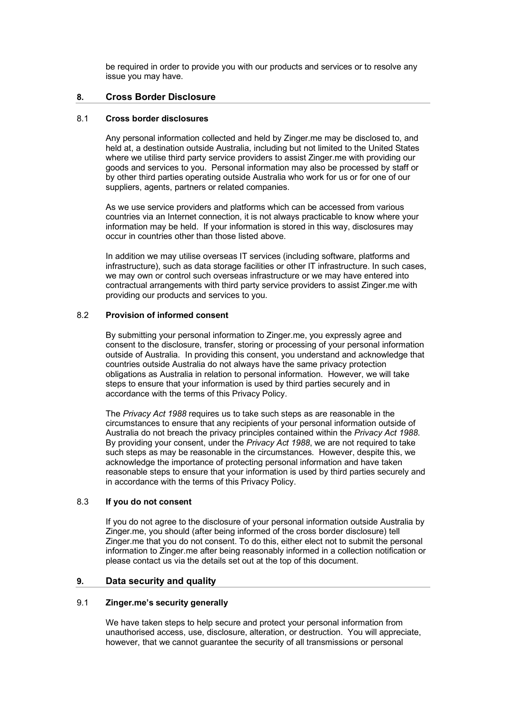be required in order to provide you with our products and services or to resolve any issue you may have.

# **8. Cross Border Disclosure**

# 8.1 **Cross border disclosures**

Any personal information collected and held by Zinger.me may be disclosed to, and held at, a destination outside Australia, including but not limited to the United States where we utilise third party service providers to assist Zinger.me with providing our goods and services to you. Personal information may also be processed by staff or by other third parties operating outside Australia who work for us or for one of our suppliers, agents, partners or related companies.

As we use service providers and platforms which can be accessed from various countries via an Internet connection, it is not always practicable to know where your information may be held. If your information is stored in this way, disclosures may occur in countries other than those listed above.

In addition we may utilise overseas IT services (including software, platforms and infrastructure), such as data storage facilities or other IT infrastructure. In such cases, we may own or control such overseas infrastructure or we may have entered into contractual arrangements with third party service providers to assist Zinger.me with providing our products and services to you.

# 8.2 **Provision of informed consent**

By submitting your personal information to Zinger.me, you expressly agree and consent to the disclosure, transfer, storing or processing of your personal information outside of Australia. In providing this consent, you understand and acknowledge that countries outside Australia do not always have the same privacy protection obligations as Australia in relation to personal information. However, we will take steps to ensure that your information is used by third parties securely and in accordance with the terms of this Privacy Policy.

The *Privacy Act 1988* requires us to take such steps as are reasonable in the circumstances to ensure that any recipients of your personal information outside of Australia do not breach the privacy principles contained within the *Privacy Act 1988*. By providing your consent, under the *Privacy Act 1988*, we are not required to take such steps as may be reasonable in the circumstances. However, despite this, we acknowledge the importance of protecting personal information and have taken reasonable steps to ensure that your information is used by third parties securely and in accordance with the terms of this Privacy Policy.

#### 8.3 **If you do not consent**

If you do not agree to the disclosure of your personal information outside Australia by Zinger.me, you should (after being informed of the cross border disclosure) tell Zinger.me that you do not consent. To do this, either elect not to submit the personal information to Zinger.me after being reasonably informed in a collection notification or please contact us via the details set out at the top of this document.

# **9. Data security and quality**

#### 9.1 **Zinger.me's security generally**

We have taken steps to help secure and protect your personal information from unauthorised access, use, disclosure, alteration, or destruction. You will appreciate, however, that we cannot guarantee the security of all transmissions or personal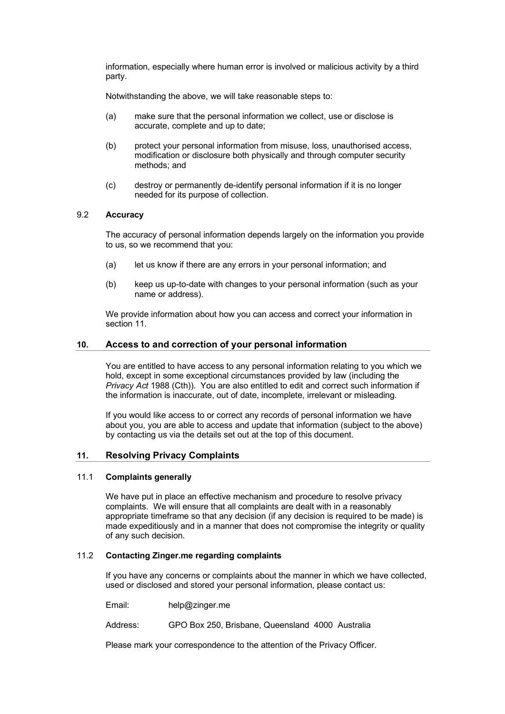information, especially where human error is involved or malicious activity by a third party.

Notwithstanding the above, we will take reasonable steps to:

- (a) make sure that the personal information we collect, use or disclose is accurate, complete and up to date;
- (b) protect your personal information from misuse, loss, unauthorised access, modification or disclosure both physically and through computer security methods; and
- (c) destroy or permanently de-identify personal information if it is no longer needed for its purpose of collection.

## 9.2 **Accuracy**

The accuracy of personal information depends largely on the information you provide to us, so we recommend that you:

- (a) let us know if there are any errors in your personal information; and
- (b) keep us up-to-date with changes to your personal information (such as your name or address).

We provide information about how you can access and correct your information in section 11.

## **10. Access to and correction of your personal information**

You are entitled to have access to any personal information relating to you which we hold, except in some exceptional circumstances provided by law (including the *Privacy Act* 1988 (Cth)). You are also entitled to edit and correct such information if the information is inaccurate, out of date, incomplete, irrelevant or misleading.

If you would like access to or correct any records of personal information we have about you, you are able to access and update that information (subject to the above) by contacting us via the details set out at the top of this document.

# **11. Resolving Privacy Complaints**

## 11.1 **Complaints generally**

We have put in place an effective mechanism and procedure to resolve privacy complaints. We will ensure that all complaints are dealt with in a reasonably appropriate timeframe so that any decision (if any decision is required to be made) is made expeditiously and in a manner that does not compromise the integrity or quality of any such decision.

# 11.2 **Contacting Zinger.me regarding complaints**

If you have any concerns or complaints about the manner in which we have collected, used or disclosed and stored your personal information, please contact us:

Email: help@zinger.me

Address: GPO Box 250, Brisbane, Queensland 4000 Australia

Please mark your correspondence to the attention of the Privacy Officer.